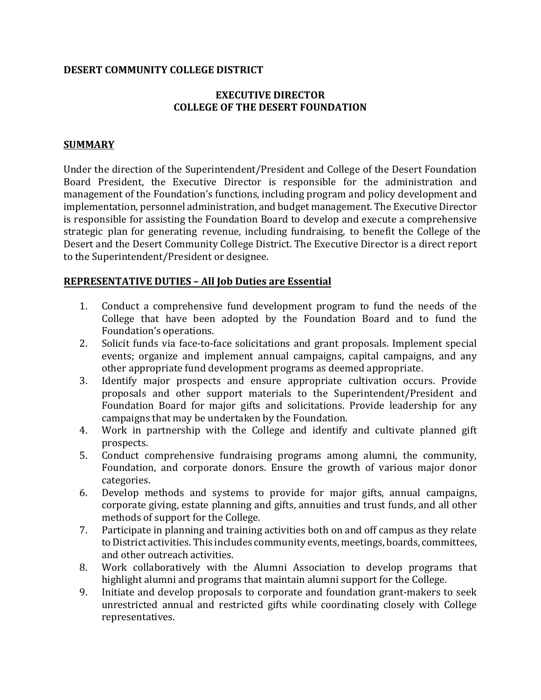## **DESERT COMMUNITY COLLEGE DISTRICT**

# **EXECUTIVE DIRECTOR COLLEGE OF THE DESERT FOUNDATION**

### **SUMMARY**

Under the direction of the Superintendent/President and College of the Desert Foundation Board President, the Executive Director is responsible for the administration and management of the Foundation's functions, including program and policy development and implementation, personnel administration, and budget management. The Executive Director is responsible for assisting the Foundation Board to develop and execute a comprehensive strategic plan for generating revenue, including fundraising, to benefit the College of the Desert and the Desert Community College District. The Executive Director is a direct report to the Superintendent/President or designee.

## **REPRESENTATIVE DUTIES – All Job Duties are Essential**

- 1. Conduct a comprehensive fund development program to fund the needs of the College that have been adopted by the Foundation Board and to fund the Foundation's operations.
- 2. Solicit funds via face-to-face solicitations and grant proposals. Implement special events; organize and implement annual campaigns, capital campaigns, and any other appropriate fund development programs as deemed appropriate.
- 3. Identify major prospects and ensure appropriate cultivation occurs. Provide proposals and other support materials to the Superintendent/President and Foundation Board for major gifts and solicitations. Provide leadership for any campaigns that may be undertaken by the Foundation.
- 4. Work in partnership with the College and identify and cultivate planned gift prospects.
- 5. Conduct comprehensive fundraising programs among alumni, the community, Foundation, and corporate donors. Ensure the growth of various major donor categories.
- 6. Develop methods and systems to provide for major gifts, annual campaigns, corporate giving, estate planning and gifts, annuities and trust funds, and all other methods of support for the College.
- 7. Participate in planning and training activities both on and off campus as they relate to District activities. This includes community events, meetings, boards, committees, and other outreach activities.
- 8. Work collaboratively with the Alumni Association to develop programs that highlight alumni and programs that maintain alumni support for the College.
- 9. Initiate and develop proposals to corporate and foundation grant-makers to seek unrestricted annual and restricted gifts while coordinating closely with College representatives.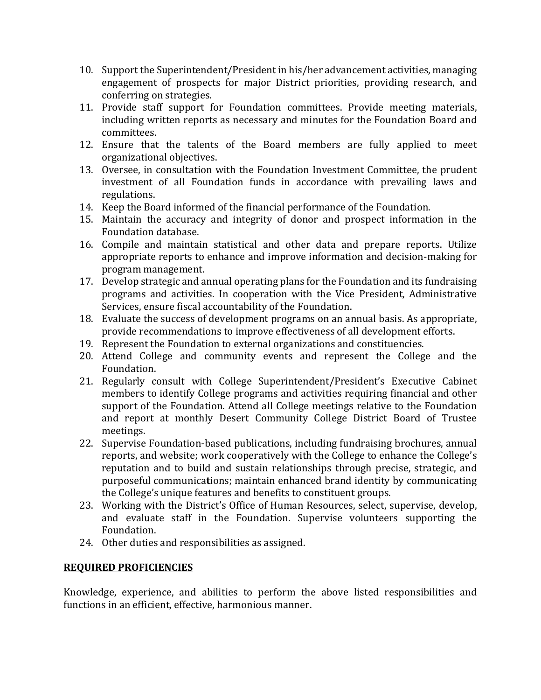- 10. Support the Superintendent/President in his/her advancement activities, managing engagement of prospects for major District priorities, providing research, and conferring on strategies.
- 11. Provide staff support for Foundation committees. Provide meeting materials, including written reports as necessary and minutes for the Foundation Board and committees.
- 12. Ensure that the talents of the Board members are fully applied to meet organizational objectives.
- 13. Oversee, in consultation with the Foundation Investment Committee, the prudent investment of all Foundation funds in accordance with prevailing laws and regulations.
- 14. Keep the Board informed of the financial performance of the Foundation.
- 15. Maintain the accuracy and integrity of donor and prospect information in the Foundation database.
- 16. Compile and maintain statistical and other data and prepare reports. Utilize appropriate reports to enhance and improve information and decision-making for program management.
- 17. Develop strategic and annual operating plans for the Foundation and its fundraising programs and activities. In cooperation with the Vice President, Administrative Services, ensure fiscal accountability of the Foundation.
- 18. Evaluate the success of development programs on an annual basis. As appropriate, provide recommendations to improve effectiveness of all development efforts.
- 19. Represent the Foundation to external organizations and constituencies.
- 20. Attend College and community events and represent the College and the Foundation.
- 21. Regularly consult with College Superintendent/President's Executive Cabinet members to identify College programs and activities requiring financial and other support of the Foundation. Attend all College meetings relative to the Foundation and report at monthly Desert Community College District Board of Trustee meetings.
- 22. Supervise Foundation-based publications, including fundraising brochures, annual reports, and website; work cooperatively with the College to enhance the College's reputation and to build and sustain relationships through precise, strategic, and purposeful communications; maintain enhanced brand identity by communicating the College's unique features and benefits to constituent groups.
- 23. Working with the District's Office of Human Resources, select, supervise, develop, and evaluate staff in the Foundation. Supervise volunteers supporting the Foundation.
- 24. Other duties and responsibilities as assigned.

# **REQUIRED PROFICIENCIES**

Knowledge, experience, and abilities to perform the above listed responsibilities and functions in an efficient, effective, harmonious manner.